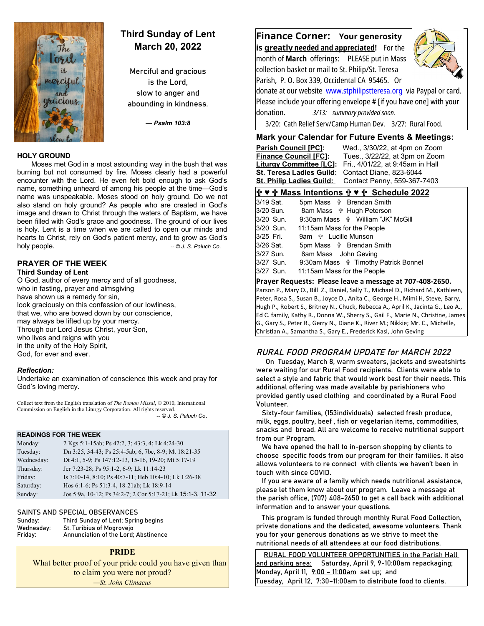

# **Third Sunday of Lent March 20, 2022**

Merciful and gracious is the Lord, slow to anger and abounding in kindness.

*— Psalm 103:8*

#### **HOLY GROUND**

Moses met God in a most astounding way in the bush that was burning but not consumed by fire. Moses clearly had a powerful encounter with the Lord. He even felt bold enough to ask God's name, something unheard of among his people at the time—God's name was unspeakable. Moses stood on holy ground. Do we not also stand on holy ground? As people who are created in God's image and drawn to Christ through the waters of Baptism, we have been filled with God's grace and goodness. The ground of our lives is holy. Lent is a time when we are called to open our minds and hearts to Christ, rely on God's patient mercy, and to grow as God's holy people. *a complete the complete term in the complete of the Complete term in the Complete of the Complete term in the Complete term in the Complete term in the Complete term in the Complete term in the Complete* 

#### **PRAYER OF THE WEEK Third Sunday of Lent**

O God, author of every mercy and of all goodness, who in fasting, prayer and almsgiving have shown us a remedy for sin, look graciously on this confession of our lowliness, that we, who are bowed down by our conscience, may always be lifted up by your mercy. Through our Lord Jesus Christ, your Son, who lives and reigns with you in the unity of the Holy Spirit, God, for ever and ever.

#### *Reflection:*

Undertake an examination of conscience this week and pray for God's loving mercy.

Collect text from the English translation of *The Roman Missal*, © 2010, International Commission on English in the Liturgy Corporation. All rights reserved.  *-- © J. S. Paluch Co*.

#### **READINGS FOR THE WEEK**

| Monday:    | 2 Kgs 5:1-15ab; Ps 42:2, 3; 43:3, 4; Lk 4:24-30             |
|------------|-------------------------------------------------------------|
| Tuesday:   | Dn 3:25, 34-43; Ps 25:4-5ab, 6, 7bc, 8-9; Mt 18:21-35       |
| Wednesday: | Dt 4:1, 5-9; Ps 147:12-13, 15-16, 19-20; Mt 5:17-19         |
| Thursday:  | Jer 7:23-28; Ps 95:1-2, 6-9; Lk 11:14-23                    |
| Friday:    | Is 7:10-14, 8:10; Ps 40:7-11; Heb 10:4-10; Lk 1:26-38       |
| Saturday:  | Hos 6:1-6; Ps 51:3-4, 18-21ab; Lk 18:9-14                   |
| Sunday:    | Jos 5:9a, 10-12; Ps 34:2-7; 2 Cor 5:17-21; Lk 15:1-3, 11-32 |

#### SAINTS AND SPECIAL OBSERVANCES

| Sunday:    | Third Sunday of Lent; Spring begins  |
|------------|--------------------------------------|
| Wednesday: | St. Turibius of Mogrovejo            |
| Friday:    | Annunciation of the Lord; Abstinence |

#### **PRIDE**

What better proof of your pride could you have given than to claim you were not proud? *—St. John Climacus*

**Finance Corner: Your generosity is greatly needed and appreciated!** For the month of **March** offerings: PLEASE put in Mass collection basket or mail to St. Philip/St. Teresa Parish, P. O. Box 339, Occidental CA 95465. Or donate at our website [www.stphilipstteresa.org](http://www.stphilipstteresa.org/) via Paypal or card. Please include your offering envelope # [if you have one] with your donation. *3/13: summary provided soon.* 3/20: Cath Relief Serv/Camp Human Dev. 3/27: Rural Food.

## **Mark your Calendar for Future Events & Meetings:**

 **Parish Council [PC]:** Wed., 3/30/22, at 4pm on Zoom **Finance Council [FC]:** Tues., 3/22/22, at 3pm on Zoom **Liturgy Committee** [**LC]:** Fri., 4/01/22, at 9:45am in Hall **St. Teresa Ladies Guild:** Contact Diane, 823-6044 **St. Philip Ladies Guild:** Contact Penny, 559-367-7403

## **♥ Mass Intentions ♥ Schedule 2022**

| 3/19 Sat. | 5pm Mass $\psi$ Brendan Smith                     |
|-----------|---------------------------------------------------|
| 3/20 Sun. | 8am Mass <b>+ Hugh Peterson</b>                   |
| 3/20 Sun. | 9:30am Mass $\frac{4}{3}$ William "JK" McGill     |
| 3/20 Sun. | 11:15am Mass for the People                       |
| 3/25 Fri. | 9am <b>the Lucille Munson</b>                     |
| 3/26 Sat. | 5pm Mass $\psi$ Brendan Smith                     |
| 3/27 Sun. | 8am Mass John Geving                              |
| 3/27 Sun. | 9:30am Mass $\frac{4}{11}$ Timothy Patrick Bonnel |
| 3/27 Sun. | 11:15am Mass for the People                       |
|           |                                                   |

### **Prayer Requests: Please leave a message at 707-408-2650.**

Parson P., Mary O., Bill Z., Daniel, Sally T., Michael D., Richard M., Kathleen, Peter, Rosa S., Susan B., Joyce D., Anita C., George H., Mimi H, Steve, Barry, Hugh P., Robert S., Britney N., Chuck, Rebecca A., April K., Jacinta G., Leo A., Ed C. family, Kathy R., Donna W., Sherry S., Gail F., Marie N., Christine, James G., Gary S., Peter R., Gerry N., Diane K., River M.; Nikkie; Mr. C., Michelle, Christian A., Samantha S., Gary E., Frederick Kasl, John Geving

## RURAL FOOD PROGRAM UPDATE for MARCH 2022

 On Tuesday, March 8, warm sweaters, jackets and sweatshirts were waiting for our Rural Food recipients. Clients were able to select a style and fabric that would work best for their needs. This additional offering was made available by parishioners who provided gently used clothing and coordinated by a Rural Food Volunteer.

 Sixty-four families, (153individuals) selected fresh produce, milk, eggs, poultry, beef , fish or vegetarian items, commodities, snacks and bread. All are welcome to receive nutritional support from our Program.

 We have opened the hall to in-person shopping by clients to choose specific foods from our program for their families. It also allows volunteers to re connect with clients we haven't been in touch with since COVID.

 If you are aware of a family which needs nutritional assistance, please let them know about our program. Leave a message at the parish office, (707) 408-2650 to get a call back with additional information and to answer your questions.

 This program is funded through monthly Rural Food Collection, private donations and the dedicated, awesome volunteers. Thank you for your generous donations as we strive to meet the nutritional needs of all attendees at our food distributions.

 RURAL FOOD VOLUNTEER OPPORTUNITIES in the Parish Hall and parking area: Saturday, April 9, 9-10:00am repackaging; Monday, April 11, 9:00 - 11:00am set up; and Tuesday, April 12, 7:30–11:00am to distribute food to clients.